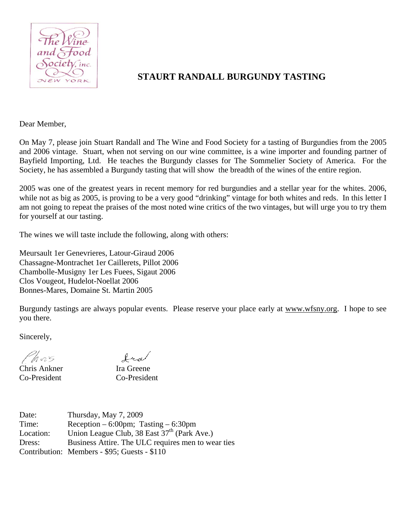

# **STAURT RANDALL BURGUNDY TASTING**

Dear Member,

On May 7, please join Stuart Randall and The Wine and Food Society for a tasting of Burgundies from the 2005 and 2006 vintage. Stuart, when not serving on our wine committee, is a wine importer and founding partner of Bayfield Importing, Ltd. He teaches the Burgundy classes for The Sommelier Society of America. For the Society, he has assembled a Burgundy tasting that will show the breadth of the wines of the entire region.

2005 was one of the greatest years in recent memory for red burgundies and a stellar year for the whites. 2006, while not as big as 2005, is proving to be a very good "drinking" vintage for both whites and reds. In this letter I am not going to repeat the praises of the most noted wine critics of the two vintages, but will urge you to try them for yourself at our tasting.

The wines we will taste include the following, along with others:

Meursault 1er Genevrieres, Latour-Giraud 2006 Chassagne-Montrachet 1er Caillerets, Pillot 2006 Chambolle-Musigny 1er Les Fuees, Sigaut 2006 Clos Vougeot, Hudelot-Noellat 2006 Bonnes-Mares, Domaine St. Martin 2005

Burgundy tastings are always popular events. Please reserve your place early at www.wfsny.org. I hope to see you there.

Sincerely,

Phors

Chris Ankner Ira Greene Co-President Co-President

fra

| Date:     | Thursday, May 7, 2009                                   |
|-----------|---------------------------------------------------------|
| Time:     | Reception $-6:00$ pm; Tasting $-6:30$ pm                |
| Location: | Union League Club, 38 East 37 <sup>th</sup> (Park Ave.) |
| Dress:    | Business Attire. The ULC requires men to wear ties      |
|           | Contribution: Members - \$95; Guests - \$110            |